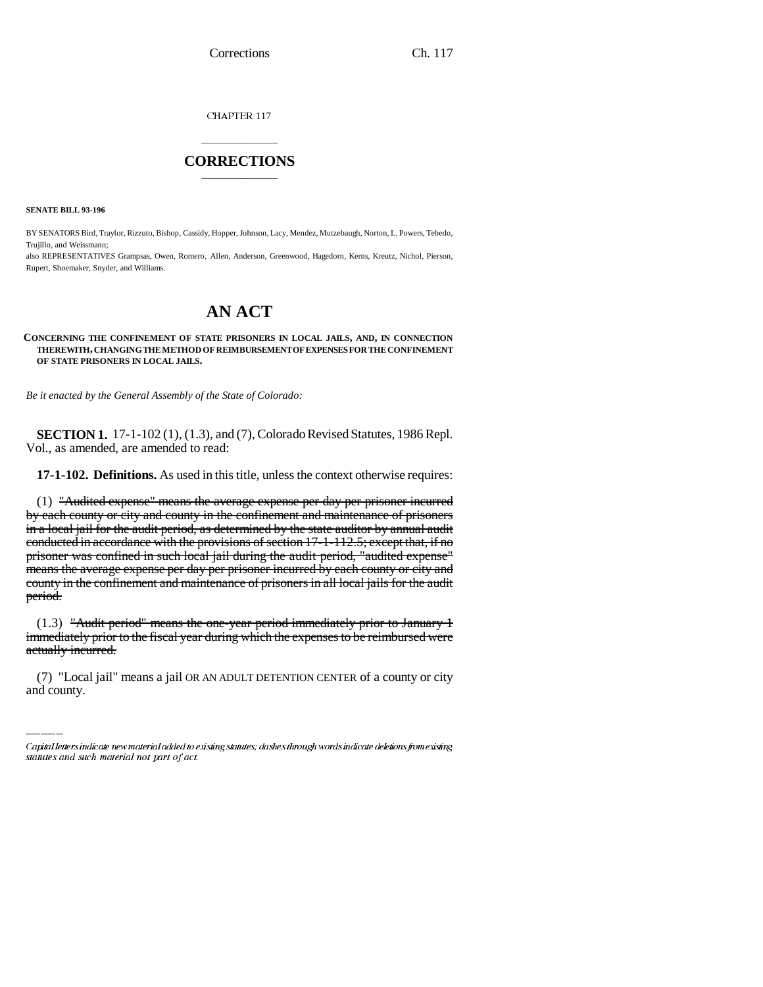Corrections Ch. 117

CHAPTER 117

## \_\_\_\_\_\_\_\_\_\_\_\_\_\_\_ **CORRECTIONS** \_\_\_\_\_\_\_\_\_\_\_\_\_\_\_

**SENATE BILL 93-196**

BY SENATORS Bird, Traylor, Rizzuto, Bishop, Cassidy, Hopper, Johnson, Lacy, Mendez, Mutzebaugh, Norton, L. Powers, Tebedo, Trujillo, and Weissmann;

also REPRESENTATIVES Grampsas, Owen, Romero, Allen, Anderson, Greenwood, Hagedorn, Kerns, Kreutz, Nichol, Pierson, Rupert, Shoemaker, Snyder, and Williams.

# **AN ACT**

#### **CONCERNING THE CONFINEMENT OF STATE PRISONERS IN LOCAL JAILS, AND, IN CONNECTION THEREWITH, CHANGING THE METHOD OF REIMBURSEMENT OF EXPENSES FOR THE CONFINEMENT OF STATE PRISONERS IN LOCAL JAILS.**

*Be it enacted by the General Assembly of the State of Colorado:*

**SECTION 1.** 17-1-102 (1), (1.3), and (7), Colorado Revised Statutes, 1986 Repl. Vol., as amended, are amended to read:

**17-1-102. Definitions.** As used in this title, unless the context otherwise requires:

(1) "Audited expense" means the average expense per day per prisoner incurred by each county or city and county in the confinement and maintenance of prisoners in a local jail for the audit period, as determined by the state auditor by annual audit conducted in accordance with the provisions of section 17-1-112.5; except that, if no prisoner was confined in such local jail during the audit period, "audited expense" means the average expense per day per prisoner incurred by each county or city and county in the confinement and maintenance of prisoners in all local jails for the audit period.

immediately prior to the fiscal year during which the expenses to be reimbursed were (1.3) "Audit period" means the one-year period immediately prior to January 1 actually incurred.

(7) "Local jail" means a jail OR AN ADULT DETENTION CENTER of a county or city and county.

Capital letters indicate new material added to existing statutes; dashes through words indicate deletions from existing statutes and such material not part of act.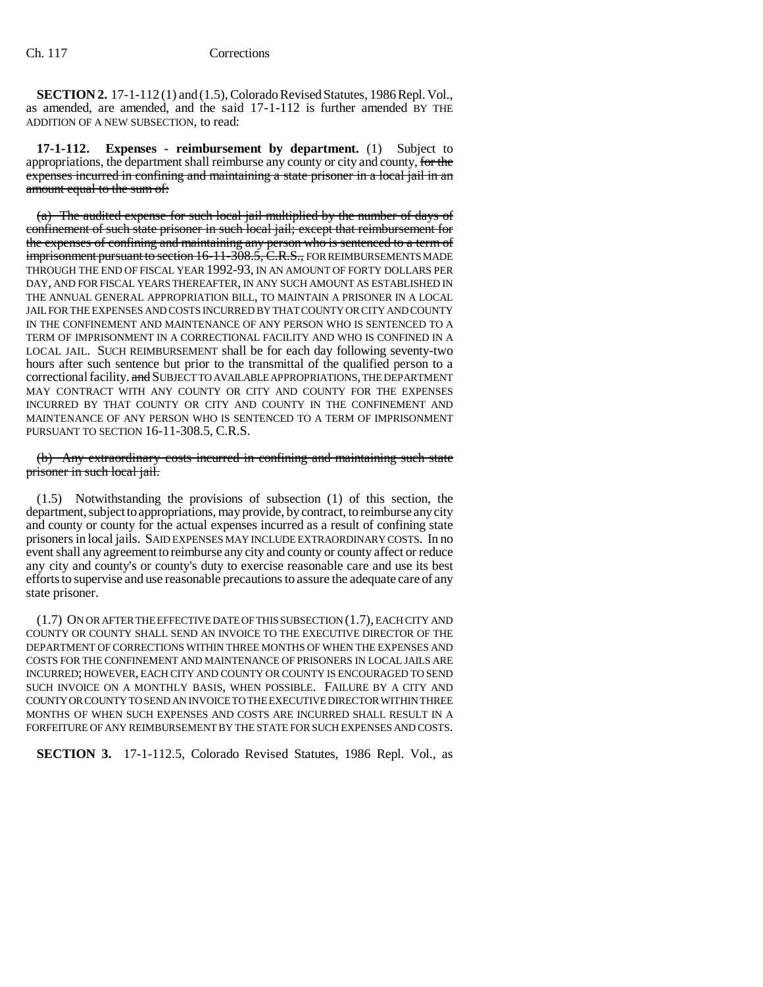**SECTION 2.** 17-1-112 (1) and (1.5), Colorado Revised Statutes, 1986 Repl. Vol., as amended, are amended, and the said 17-1-112 is further amended BY THE ADDITION OF A NEW SUBSECTION, to read:

**17-1-112. Expenses - reimbursement by department.** (1) Subject to appropriations, the department shall reimburse any county or city and county, for the expenses incurred in confining and maintaining a state prisoner in a local jail in an amount equal to the sum of:

(a) The audited expense for such local jail multiplied by the number of days of confinement of such state prisoner in such local jail; except that reimbursement for the expenses of confining and maintaining any person who is sentenced to a term of imprisonment pursuant to section 16-11-308.5, C.R.S., FOR REIMBURSEMENTS MADE THROUGH THE END OF FISCAL YEAR 1992-93, IN AN AMOUNT OF FORTY DOLLARS PER DAY, AND FOR FISCAL YEARS THEREAFTER, IN ANY SUCH AMOUNT AS ESTABLISHED IN THE ANNUAL GENERAL APPROPRIATION BILL, TO MAINTAIN A PRISONER IN A LOCAL JAIL FOR THE EXPENSES AND COSTS INCURRED BY THAT COUNTY OR CITY AND COUNTY IN THE CONFINEMENT AND MAINTENANCE OF ANY PERSON WHO IS SENTENCED TO A TERM OF IMPRISONMENT IN A CORRECTIONAL FACILITY AND WHO IS CONFINED IN A LOCAL JAIL. SUCH REIMBURSEMENT shall be for each day following seventy-two hours after such sentence but prior to the transmittal of the qualified person to a correctional facility. and SUBJECT TO AVAILABLE APPROPRIATIONS, THE DEPARTMENT MAY CONTRACT WITH ANY COUNTY OR CITY AND COUNTY FOR THE EXPENSES INCURRED BY THAT COUNTY OR CITY AND COUNTY IN THE CONFINEMENT AND MAINTENANCE OF ANY PERSON WHO IS SENTENCED TO A TERM OF IMPRISONMENT PURSUANT TO SECTION 16-11-308.5, C.R.S.

#### (b) Any extraordinary costs incurred in confining and maintaining such state prisoner in such local jail.

(1.5) Notwithstanding the provisions of subsection (1) of this section, the department, subject to appropriations, may provide, by contract, to reimburse any city and county or county for the actual expenses incurred as a result of confining state prisoners in local jails. SAID EXPENSES MAY INCLUDE EXTRAORDINARY COSTS. In no event shall any agreement to reimburse any city and county or county affect or reduce any city and county's or county's duty to exercise reasonable care and use its best efforts to supervise and use reasonable precautions to assure the adequate care of any state prisoner.

(1.7) ON OR AFTER THE EFFECTIVE DATE OF THIS SUBSECTION (1.7), EACH CITY AND COUNTY OR COUNTY SHALL SEND AN INVOICE TO THE EXECUTIVE DIRECTOR OF THE DEPARTMENT OF CORRECTIONS WITHIN THREE MONTHS OF WHEN THE EXPENSES AND COSTS FOR THE CONFINEMENT AND MAINTENANCE OF PRISONERS IN LOCAL JAILS ARE INCURRED; HOWEVER, EACH CITY AND COUNTY OR COUNTY IS ENCOURAGED TO SEND SUCH INVOICE ON A MONTHLY BASIS, WHEN POSSIBLE. FAILURE BY A CITY AND COUNTY OR COUNTY TO SEND AN INVOICE TO THE EXECUTIVE DIRECTOR WITHIN THREE MONTHS OF WHEN SUCH EXPENSES AND COSTS ARE INCURRED SHALL RESULT IN A FORFEITURE OF ANY REIMBURSEMENT BY THE STATE FOR SUCH EXPENSES AND COSTS.

**SECTION 3.** 17-1-112.5, Colorado Revised Statutes, 1986 Repl. Vol., as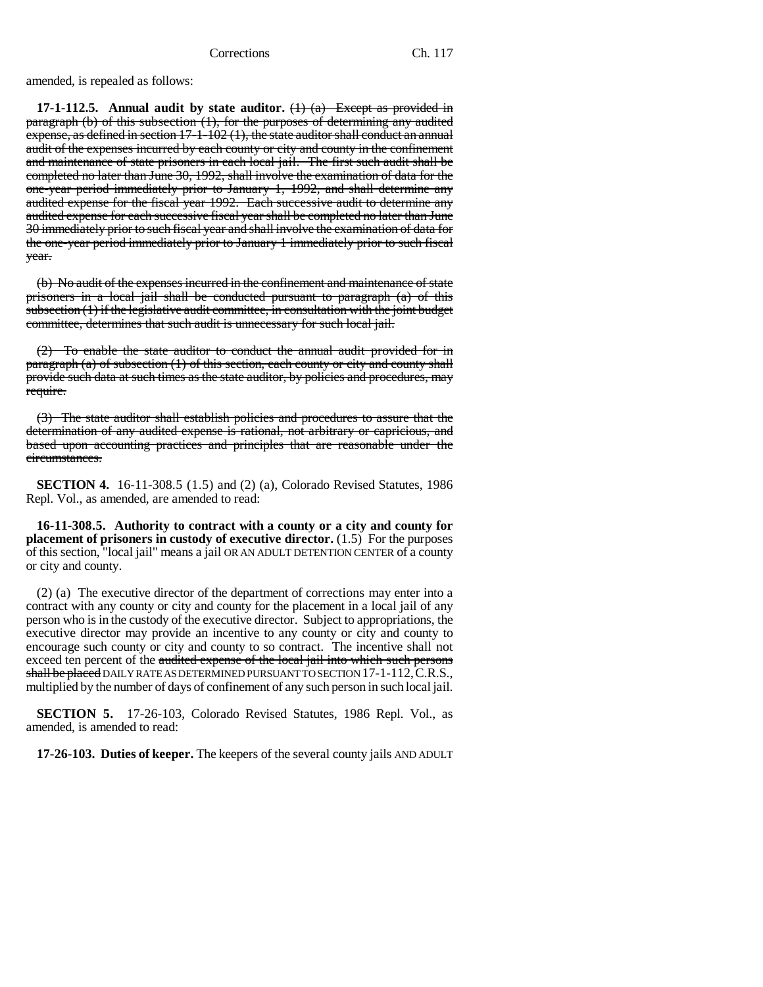amended, is repealed as follows:

**17-1-112.5. Annual audit by state auditor.** (1) (a) Except as provided in paragraph (b) of this subsection (1), for the purposes of determining any audited expense, as defined in section 17-1-102 (1), the state auditor shall conduct an annual audit of the expenses incurred by each county or city and county in the confinement and maintenance of state prisoners in each local jail. The first such audit shall be completed no later than June 30, 1992, shall involve the examination of data for the one-year period immediately prior to January 1, 1992, and shall determine any audited expense for the fiscal year 1992. Each successive audit to determine any audited expense for each successive fiscal year shall be completed no later than June 30 immediately prior to such fiscal year and shall involve the examination of data for the one-year period immediately prior to January 1 immediately prior to such fiscal year.

(b) No audit of the expenses incurred in the confinement and maintenance of state prisoners in a local jail shall be conducted pursuant to paragraph (a) of this subsection (1) if the legislative audit committee, in consultation with the joint budget committee, determines that such audit is unnecessary for such local jail.

(2) To enable the state auditor to conduct the annual audit provided for in paragraph (a) of subsection (1) of this section, each county or city and county shall provide such data at such times as the state auditor, by policies and procedures, may require.

(3) The state auditor shall establish policies and procedures to assure that the determination of any audited expense is rational, not arbitrary or capricious, and based upon accounting practices and principles that are reasonable under the circumstances.

**SECTION 4.** 16-11-308.5 (1.5) and (2) (a), Colorado Revised Statutes, 1986 Repl. Vol., as amended, are amended to read:

**16-11-308.5. Authority to contract with a county or a city and county for placement of prisoners in custody of executive director.** (1.5) For the purposes of this section, "local jail" means a jail OR AN ADULT DETENTION CENTER of a county or city and county.

(2) (a) The executive director of the department of corrections may enter into a contract with any county or city and county for the placement in a local jail of any person who is in the custody of the executive director. Subject to appropriations, the executive director may provide an incentive to any county or city and county to encourage such county or city and county to so contract. The incentive shall not exceed ten percent of the audited expense of the local jail into which such persons shall be placed DAILY RATE AS DETERMINED PURSUANT TO SECTION 17-1-112,C.R.S., multiplied by the number of days of confinement of any such person in such local jail.

**SECTION 5.** 17-26-103, Colorado Revised Statutes, 1986 Repl. Vol., as amended, is amended to read:

**17-26-103. Duties of keeper.** The keepers of the several county jails AND ADULT